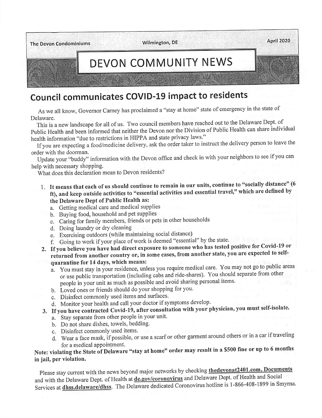

# Council communicates COVID-19 impact to residents

As we all know, Governor Carney has proclaimed a "stay at home" state of emergency in the state of Delaware. **Delaware.** The contract of the contract of the contract of the contract of the contract of the contract of the contract of the contract of the contract of the contract of the contract of the contract of the contract of th

This is a new landscape for all of us. Two council members have reached out to the Delaware Dept. of Public Health and been informed that neither the Devon nor the Division of Public Health can share individual health information "due to restrictions in HIPPA and state privacy laws."

If you are expecting a food/medicine delivery, ask the order taker to instruct the delivery person to leave the order with the doorman.

Update your "buddy" information with the Devon office and check in with your neighbors to see ityou can help with necessary shopping.

What does this declaration mean to Devon residents?

- 1. It means that each of us should continue to remain in our units, continue to "socially distance" (6 ft), and keep outside activities to "essential activities and essential travel," which are defined by the Delaware Dept of Public Health as:
	- a. Getting medical care and medical supplies
	- b. Buying food, household and pet supplies
	- c. Caring for family members, friends or pets in other households
	- d. Doing laundry or dry cleaning
	- e. Exercising outdoors (while maintaining social distance)
	- f. Going to work ifyour place ofwork is deemed "essential" by the state.
- 2. Ifyou believe you have had direct exposure to someone who has tested positive for Covid-19 or returned from another country or, in some cases, from another state, you are expected to selfquarantine for 14 days, which means:
	- a. You must stay in your residence, unless you require medical care. You may not go to public areas or use public transportation (including cabs and ride-shares). You should separate from other people in your unit as much as possible and avoid sharing personal items.
	- b. Loved ones or friends should do your shopping for you.
	- c. Disinfect commonly used items and surfaces.
	- d. Monitor your health and call your doctor if symptoms develop.
- 3. Ifyou have contracted Covid-19, after consultation with your physician, you must self-isolate.
	- a. Stay separate from other people in your unit.
	- b. Do not share dishes, towels, bedding.
	- c. Disinfect commonly used items.
	- d. Wear a face mask, if possible, or use a scarf or other garment around others or in a car if traveling for a medical appointment.

Note: violating the State of Delaware "stay at home" order may result in a \$500 fine or up to 6 months in jail, per violation.

Please stay current with the news beyond major networks by checking thedevonat2401.com, Documents and with the Delaware Dept. of Health at de.gov/coronovirus and Delaware Dept. of Health and Social Services at *dhss.delaware/dhss.* The Delaware dedicated Coronovirus hotline is 1-866-408-1899 in Smyrna.